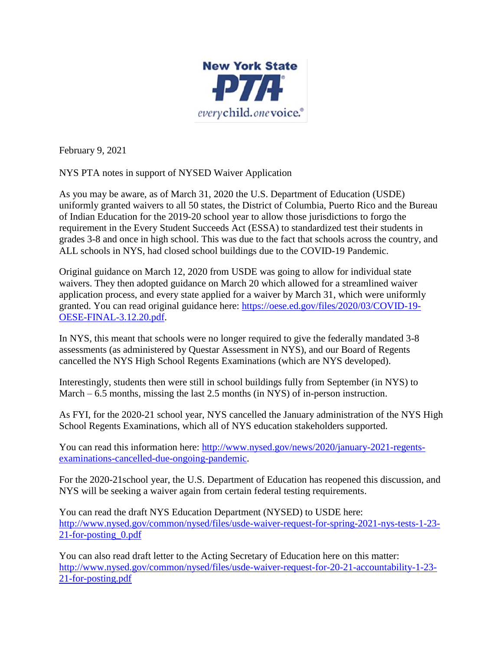

February 9, 2021

NYS PTA notes in support of NYSED Waiver Application

As you may be aware, as of March 31, 2020 the U.S. Department of Education (USDE) uniformly granted waivers to all 50 states, the District of Columbia, Puerto Rico and the Bureau of Indian Education for the 2019-20 school year to allow those jurisdictions to forgo the requirement in the Every Student Succeeds Act (ESSA) to standardized test their students in grades 3-8 and once in high school. This was due to the fact that schools across the country, and ALL schools in NYS, had closed school buildings due to the COVID-19 Pandemic.

Original guidance on March 12, 2020 from USDE was going to allow for individual state waivers. They then adopted guidance on March 20 which allowed for a streamlined waiver application process, and every state applied for a waiver by March 31, which were uniformly granted. You can read original guidance here: [https://oese.ed.gov/files/2020/03/COVID-19-](https://oese.ed.gov/files/2020/03/COVID-19-OESE-FINAL-3.12.20.pdf) [OESE-FINAL-3.12.20.pdf.](https://oese.ed.gov/files/2020/03/COVID-19-OESE-FINAL-3.12.20.pdf)

In NYS, this meant that schools were no longer required to give the federally mandated 3-8 assessments (as administered by Questar Assessment in NYS), and our Board of Regents cancelled the NYS High School Regents Examinations (which are NYS developed).

Interestingly, students then were still in school buildings fully from September (in NYS) to March – 6.5 months, missing the last 2.5 months (in NYS) of in-person instruction.

As FYI, for the 2020-21 school year, NYS cancelled the January administration of the NYS High School Regents Examinations, which all of NYS education stakeholders supported.

You can read this information here: [http://www.nysed.gov/news/2020/january-2021-regents](http://www.nysed.gov/news/2020/january-2021-regents-examinations-cancelled-due-ongoing-pandemic)[examinations-cancelled-due-ongoing-pandemic.](http://www.nysed.gov/news/2020/january-2021-regents-examinations-cancelled-due-ongoing-pandemic)

For the 2020-21school year, the U.S. Department of Education has reopened this discussion, and NYS will be seeking a waiver again from certain federal testing requirements.

You can read the draft NYS Education Department (NYSED) to USDE here: [http://www.nysed.gov/common/nysed/files/usde-waiver-request-for-spring-2021-nys-tests-1-23-](http://www.nysed.gov/common/nysed/files/usde-waiver-request-for-spring-2021-nys-tests-1-23-21-for-posting_0.pdf) [21-for-posting\\_0.pdf](http://www.nysed.gov/common/nysed/files/usde-waiver-request-for-spring-2021-nys-tests-1-23-21-for-posting_0.pdf)

You can also read draft letter to the Acting Secretary of Education here on this matter: [http://www.nysed.gov/common/nysed/files/usde-waiver-request-for-20-21-accountability-1-23-](http://www.nysed.gov/common/nysed/files/usde-waiver-request-for-20-21-accountability-1-23-21-for-posting.pdf) [21-for-posting.pdf](http://www.nysed.gov/common/nysed/files/usde-waiver-request-for-20-21-accountability-1-23-21-for-posting.pdf)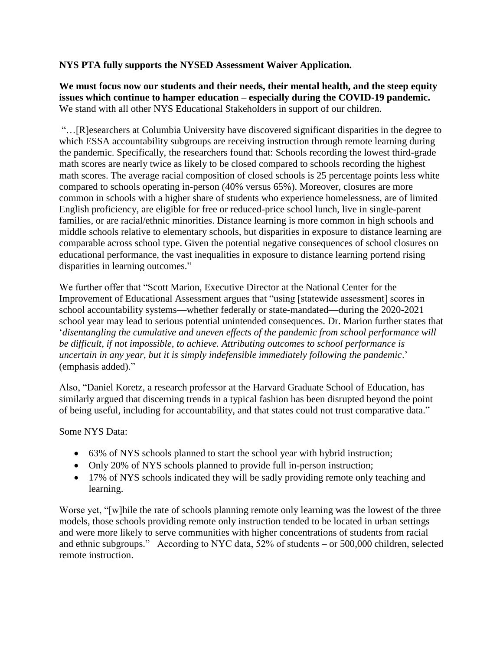## **NYS PTA fully supports the NYSED Assessment Waiver Application.**

**We must focus now our students and their needs, their mental health, and the steep equity issues which continue to hamper education – especially during the COVID-19 pandemic.** We stand with all other NYS Educational Stakeholders in support of our children.

"…[R]esearchers at Columbia University have discovered significant disparities in the degree to which ESSA accountability subgroups are receiving instruction through remote learning during the pandemic. Specifically, the researchers found that: Schools recording the lowest third-grade math scores are nearly twice as likely to be closed compared to schools recording the highest math scores. The average racial composition of closed schools is 25 percentage points less white compared to schools operating in-person (40% versus 65%). Moreover, closures are more common in schools with a higher share of students who experience homelessness, are of limited English proficiency, are eligible for free or reduced-price school lunch, live in single-parent families, or are racial/ethnic minorities. Distance learning is more common in high schools and middle schools relative to elementary schools, but disparities in exposure to distance learning are comparable across school type. Given the potential negative consequences of school closures on educational performance, the vast inequalities in exposure to distance learning portend rising disparities in learning outcomes."

We further offer that "Scott Marion, Executive Director at the National Center for the Improvement of Educational Assessment argues that "using [statewide assessment] scores in school accountability systems—whether federally or state-mandated—during the 2020-2021 school year may lead to serious potential unintended consequences. Dr. Marion further states that '*disentangling the cumulative and uneven effects of the pandemic from school performance will be difficult, if not impossible, to achieve. Attributing outcomes to school performance is uncertain in any year, but it is simply indefensible immediately following the pandemic*.' (emphasis added)."

Also, "Daniel Koretz, a research professor at the Harvard Graduate School of Education, has similarly argued that discerning trends in a typical fashion has been disrupted beyond the point of being useful, including for accountability, and that states could not trust comparative data."

Some NYS Data:

- 63% of NYS schools planned to start the school year with hybrid instruction;
- Only 20% of NYS schools planned to provide full in-person instruction;
- 17% of NYS schools indicated they will be sadly providing remote only teaching and learning.

Worse yet, "[w]hile the rate of schools planning remote only learning was the lowest of the three models, those schools providing remote only instruction tended to be located in urban settings and were more likely to serve communities with higher concentrations of students from racial and ethnic subgroups." According to NYC data, 52% of students – or 500,000 children, selected remote instruction.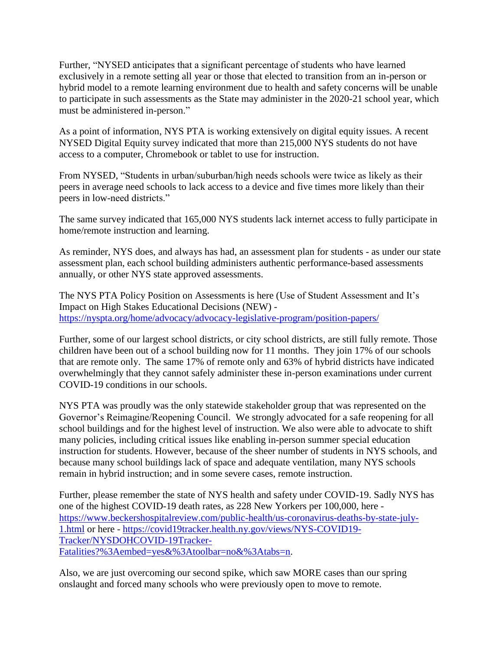Further, "NYSED anticipates that a significant percentage of students who have learned exclusively in a remote setting all year or those that elected to transition from an in-person or hybrid model to a remote learning environment due to health and safety concerns will be unable to participate in such assessments as the State may administer in the 2020-21 school year, which must be administered in-person."

As a point of information, NYS PTA is working extensively on digital equity issues. A recent NYSED Digital Equity survey indicated that more than 215,000 NYS students do not have access to a computer, Chromebook or tablet to use for instruction.

From NYSED, "Students in urban/suburban/high needs schools were twice as likely as their peers in average need schools to lack access to a device and five times more likely than their peers in low-need districts."

The same survey indicated that 165,000 NYS students lack internet access to fully participate in home/remote instruction and learning.

As reminder, NYS does, and always has had, an assessment plan for students - as under our state assessment plan, each school building administers authentic performance-based assessments annually, or other NYS state approved assessments.

The NYS PTA Policy Position on Assessments is here (Use of Student Assessment and It's Impact on High Stakes Educational Decisions (NEW) <https://nyspta.org/home/advocacy/advocacy-legislative-program/position-papers/>

Further, some of our largest school districts, or city school districts, are still fully remote. Those children have been out of a school building now for 11 months. They join 17% of our schools that are remote only. The same 17% of remote only and 63% of hybrid districts have indicated overwhelmingly that they cannot safely administer these in-person examinations under current COVID-19 conditions in our schools.

NYS PTA was proudly was the only statewide stakeholder group that was represented on the Governor's Reimagine/Reopening Council. We strongly advocated for a safe reopening for all school buildings and for the highest level of instruction. We also were able to advocate to shift many policies, including critical issues like enabling in-person summer special education instruction for students. However, because of the sheer number of students in NYS schools, and because many school buildings lack of space and adequate ventilation, many NYS schools remain in hybrid instruction; and in some severe cases, remote instruction.

Further, please remember the state of NYS health and safety under COVID-19. Sadly NYS has one of the highest COVID-19 death rates, as 228 New Yorkers per 100,000, here [https://www.beckershospitalreview.com/public-health/us-coronavirus-deaths-by-state-july-](https://www.beckershospitalreview.com/public-health/us-coronavirus-deaths-by-state-july-1.html)[1.html](https://www.beckershospitalreview.com/public-health/us-coronavirus-deaths-by-state-july-1.html) or here - [https://covid19tracker.health.ny.gov/views/NYS-COVID19-](https://covid19tracker.health.ny.gov/views/NYS-COVID19-Tracker/NYSDOHCOVID-19Tracker-Fatalities?%3Aembed=yes&%3Atoolbar=no&%3Atabs=n) [Tracker/NYSDOHCOVID-19Tracker-](https://covid19tracker.health.ny.gov/views/NYS-COVID19-Tracker/NYSDOHCOVID-19Tracker-Fatalities?%3Aembed=yes&%3Atoolbar=no&%3Atabs=n)[Fatalities?%3Aembed=yes&%3Atoolbar=no&%3Atabs=n.](https://covid19tracker.health.ny.gov/views/NYS-COVID19-Tracker/NYSDOHCOVID-19Tracker-Fatalities?%3Aembed=yes&%3Atoolbar=no&%3Atabs=n)

Also, we are just overcoming our second spike, which saw MORE cases than our spring onslaught and forced many schools who were previously open to move to remote.